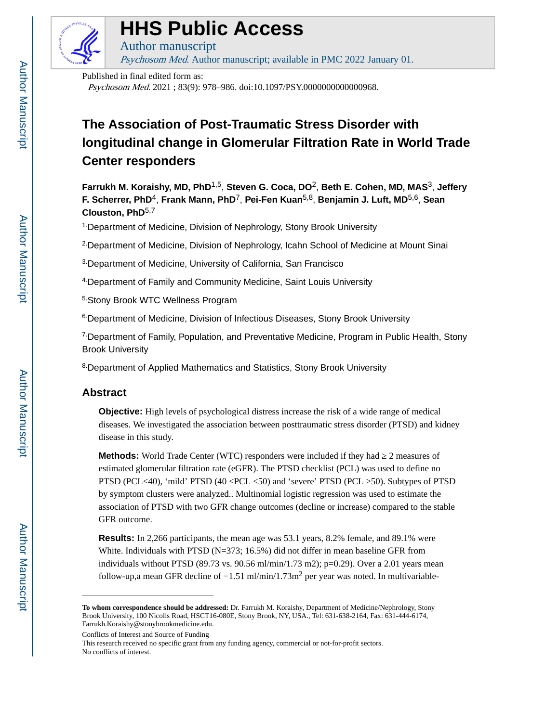

# **HHS Public Access**

Author manuscript Psychosom Med. Author manuscript; available in PMC 2022 January 01.

Published in final edited form as:

Psychosom Med. 2021 ; 83(9): 978–986. doi:10.1097/PSY.0000000000000968.

## **The Association of Post-Traumatic Stress Disorder with longitudinal change in Glomerular Filtration Rate in World Trade Center responders**

**Farrukh M. Koraishy, MD, PhD**1,5, **Steven G. Coca, DO**2, **Beth E. Cohen, MD, MAS**3, **Jeffery F. Scherrer, PhD**4, **Frank Mann, PhD**7, **Pei-Fen Kuan**5,8, **Benjamin J. Luft, MD**5,6, **Sean Clouston, PhD**5,7

<sup>1</sup> Department of Medicine, Division of Nephrology, Stony Brook University

2.Department of Medicine, Division of Nephrology, Icahn School of Medicine at Mount Sinai

3.Department of Medicine, University of California, San Francisco

4.Department of Family and Community Medicine, Saint Louis University

5.Stony Brook WTC Wellness Program

<sup>6</sup>Department of Medicine, Division of Infectious Diseases, Stony Brook University

7.Department of Family, Population, and Preventative Medicine, Program in Public Health, Stony Brook University

8.Department of Applied Mathematics and Statistics, Stony Brook University

## **Abstract**

**Objective:** High levels of psychological distress increase the risk of a wide range of medical diseases. We investigated the association between posttraumatic stress disorder (PTSD) and kidney disease in this study.

Methods: World Trade Center (WTC) responders were included if they had 2 measures of estimated glomerular filtration rate (eGFR). The PTSD checklist (PCL) was used to define no PTSD (PCL<40), 'mild' PTSD (40 PCL <50) and 'severe' PTSD (PCL 50). Subtypes of PTSD by symptom clusters were analyzed.. Multinomial logistic regression was used to estimate the association of PTSD with two GFR change outcomes (decline or increase) compared to the stable GFR outcome.

**Results:** In 2,266 participants, the mean age was 53.1 years, 8.2% female, and 89.1% were White. Individuals with PTSD (N=373; 16.5%) did not differ in mean baseline GFR from individuals without PTSD (89.73 vs. 90.56 ml/min/1.73 m2); p=0.29). Over a 2.01 years mean follow-up,a mean GFR decline of  $-1.51$  ml/min/1.73m<sup>2</sup> per year was noted. In multivariable-

Conflicts of Interest and Source of Funding

This research received no specific grant from any funding agency, commercial or not-for-profit sectors. No conflicts of interest.

**To whom correspondence should be addressed:** Dr. Farrukh M. Koraishy, Department of Medicine/Nephrology, Stony Brook University, 100 Nicolls Road, HSCT16-080E, Stony Brook, NY, USA., Tel: 631-638-2164, Fax: 631-444-6174, Farrukh.Koraishy@stonybrookmedicine.edu.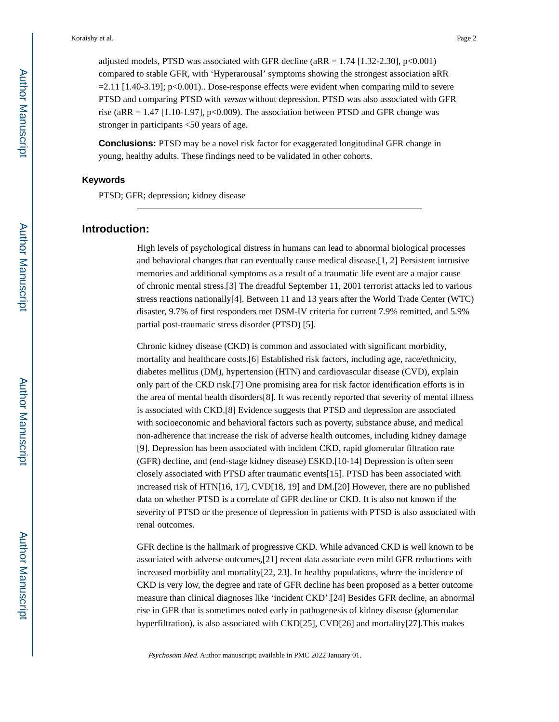adjusted models, PTSD was associated with GFR decline ( $aRR = 1.74$  [1.32-2.30], p<0.001) compared to stable GFR, with 'Hyperarousal' symptoms showing the strongest association aRR  $=2.11$  [1.40-3.19]; p<0.001).. Dose-response effects were evident when comparing mild to severe PTSD and comparing PTSD with versus without depression. PTSD was also associated with GFR rise (aRR =  $1.47$  [1.10-1.97], p<0.009). The association between PTSD and GFR change was stronger in participants <50 years of age.

**Conclusions:** PTSD may be a novel risk factor for exaggerated longitudinal GFR change in young, healthy adults. These findings need to be validated in other cohorts.

## **Keywords**

PTSD; GFR; depression; kidney disease

## **Introduction:**

High levels of psychological distress in humans can lead to abnormal biological processes and behavioral changes that can eventually cause medical disease.[1, 2] Persistent intrusive memories and additional symptoms as a result of a traumatic life event are a major cause of chronic mental stress.[3] The dreadful September 11, 2001 terrorist attacks led to various stress reactions nationally[4]. Between 11 and 13 years after the World Trade Center (WTC) disaster, 9.7% of first responders met DSM-IV criteria for current 7.9% remitted, and 5.9% partial post-traumatic stress disorder (PTSD) [5].

Chronic kidney disease (CKD) is common and associated with significant morbidity, mortality and healthcare costs.[6] Established risk factors, including age, race/ethnicity, diabetes mellitus (DM), hypertension (HTN) and cardiovascular disease (CVD), explain only part of the CKD risk.[7] One promising area for risk factor identification efforts is in the area of mental health disorders[8]. It was recently reported that severity of mental illness is associated with CKD.[8] Evidence suggests that PTSD and depression are associated with socioeconomic and behavioral factors such as poverty, substance abuse, and medical non-adherence that increase the risk of adverse health outcomes, including kidney damage [9]. Depression has been associated with incident CKD, rapid glomerular filtration rate (GFR) decline, and (end-stage kidney disease) ESKD.[10-14] Depression is often seen closely associated with PTSD after traumatic events[15]. PTSD has been associated with increased risk of HTN[16, 17], CVD[18, 19] and DM.[20] However, there are no published data on whether PTSD is a correlate of GFR decline or CKD. It is also not known if the severity of PTSD or the presence of depression in patients with PTSD is also associated with renal outcomes.

GFR decline is the hallmark of progressive CKD. While advanced CKD is well known to be associated with adverse outcomes,[21] recent data associate even mild GFR reductions with increased morbidity and mortality[22, 23]. In healthy populations, where the incidence of CKD is very low, the degree and rate of GFR decline has been proposed as a better outcome measure than clinical diagnoses like 'incident CKD'.[24] Besides GFR decline, an abnormal rise in GFR that is sometimes noted early in pathogenesis of kidney disease (glomerular hyperfiltration), is also associated with CKD[25], CVD[26] and mortality[27].This makes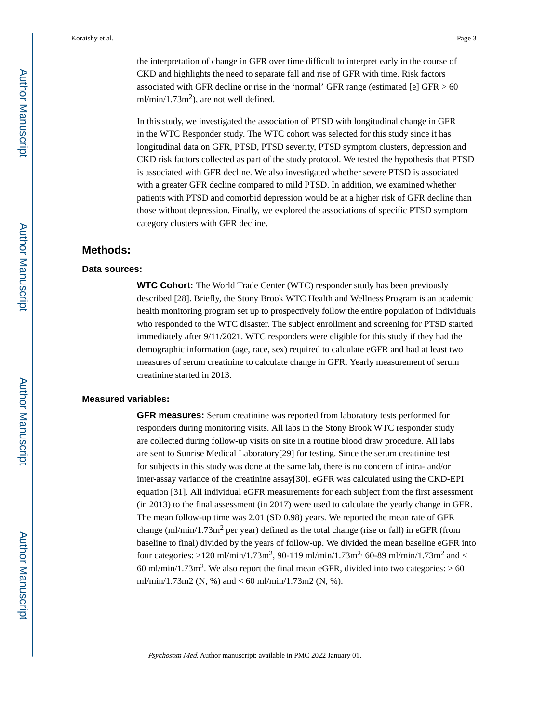the interpretation of change in GFR over time difficult to interpret early in the course of CKD and highlights the need to separate fall and rise of GFR with time. Risk factors associated with GFR decline or rise in the 'normal' GFR range (estimated [e] GFR  $> 60$  $ml/min/1.73m<sup>2</sup>$ ), are not well defined.

In this study, we investigated the association of PTSD with longitudinal change in GFR in the WTC Responder study. The WTC cohort was selected for this study since it has longitudinal data on GFR, PTSD, PTSD severity, PTSD symptom clusters, depression and CKD risk factors collected as part of the study protocol. We tested the hypothesis that PTSD is associated with GFR decline. We also investigated whether severe PTSD is associated with a greater GFR decline compared to mild PTSD. In addition, we examined whether patients with PTSD and comorbid depression would be at a higher risk of GFR decline than those without depression. Finally, we explored the associations of specific PTSD symptom category clusters with GFR decline.

## **Methods:**

#### **Data sources:**

**WTC Cohort:** The World Trade Center (WTC) responder study has been previously described [28]. Briefly, the Stony Brook WTC Health and Wellness Program is an academic health monitoring program set up to prospectively follow the entire population of individuals who responded to the WTC disaster. The subject enrollment and screening for PTSD started immediately after 9/11/2021. WTC responders were eligible for this study if they had the demographic information (age, race, sex) required to calculate eGFR and had at least two measures of serum creatinine to calculate change in GFR. Yearly measurement of serum creatinine started in 2013.

#### **Measured variables:**

**GFR measures:** Serum creatinine was reported from laboratory tests performed for responders during monitoring visits. All labs in the Stony Brook WTC responder study are collected during follow-up visits on site in a routine blood draw procedure. All labs are sent to Sunrise Medical Laboratory[29] for testing. Since the serum creatinine test for subjects in this study was done at the same lab, there is no concern of intra- and/or inter-assay variance of the creatinine assay[30]. eGFR was calculated using the CKD-EPI equation [31]. All individual eGFR measurements for each subject from the first assessment (in 2013) to the final assessment (in 2017) were used to calculate the yearly change in GFR. The mean follow-up time was 2.01 (SD 0.98) years. We reported the mean rate of GFR change (ml/min/1.73m<sup>2</sup> per year) defined as the total change (rise or fall) in eGFR (from baseline to final) divided by the years of follow-up. We divided the mean baseline eGFR into four categories:  $120 \text{ ml/min}/1.73 \text{ m}^2$ ,  $90-119 \text{ ml/min}/1.73 \text{ m}^2$ ,  $60-89 \text{ ml/min}/1.73 \text{ m}^2$  and  $<$ 60 ml/min/1.73m<sup>2</sup>. We also report the final mean eGFR, divided into two categories:  $\frac{60}{2}$ ml/min/1.73m2 (N, %) and < 60 ml/min/1.73m2 (N, %).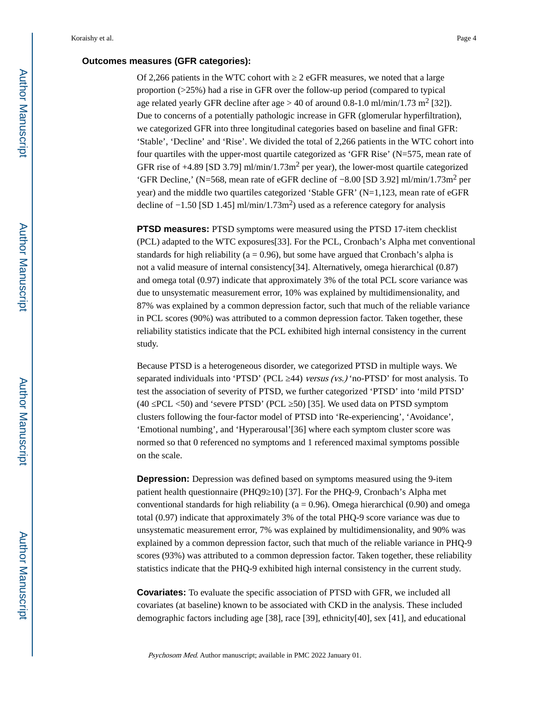## **Outcomes measures (GFR categories):**

Of 2,266 patients in the WTC cohort with ≥ 2 eGFR measures, we noted that a large proportion (>25%) had a rise in GFR over the follow-up period (compared to typical age related yearly GFR decline after age  $> 40$  of around 0.8-1.0 ml/min/1.73 m<sup>2</sup> [32]). Due to concerns of a potentially pathologic increase in GFR (glomerular hyperfiltration), we categorized GFR into three longitudinal categories based on baseline and final GFR: 'Stable', 'Decline' and 'Rise'. We divided the total of 2,266 patients in the WTC cohort into four quartiles with the upper-most quartile categorized as 'GFR Rise' (N=575, mean rate of GFR rise of  $+4.89$  [SD 3.79] ml/min/1.73m<sup>2</sup> per year), the lower-most quartile categorized 'GFR Decline,' (N=568, mean rate of eGFR decline of −8.00 [SD 3.92] ml/min/1.73m<sup>2</sup> per year) and the middle two quartiles categorized 'Stable GFR' (N=1,123, mean rate of eGFR decline of  $-1.50$  [SD 1.45] ml/min/1.73m<sup>2</sup>) used as a reference category for analysis

**PTSD measures:** PTSD symptoms were measured using the PTSD 17-item checklist (PCL) adapted to the WTC exposures[33]. For the PCL, Cronbach's Alpha met conventional standards for high reliability ( $a = 0.96$ ), but some have argued that Cronbach's alpha is not a valid measure of internal consistency[34]. Alternatively, omega hierarchical (0.87) and omega total (0.97) indicate that approximately 3% of the total PCL score variance was due to unsystematic measurement error, 10% was explained by multidimensionality, and 87% was explained by a common depression factor, such that much of the reliable variance in PCL scores (90%) was attributed to a common depression factor. Taken together, these reliability statistics indicate that the PCL exhibited high internal consistency in the current study.

Because PTSD is a heterogeneous disorder, we categorized PTSD in multiple ways. We separated individuals into 'PTSD' (PCL  $\,$  44) versus (vs.) 'no-PTSD' for most analysis. To test the association of severity of PTSD, we further categorized 'PTSD' into 'mild PTSD' (40 PCL  $\langle 50 \rangle$ ) and 'severe PTSD' (PCL  $\langle 50 \rangle$  [35]. We used data on PTSD symptom clusters following the four-factor model of PTSD into 'Re-experiencing', 'Avoidance', 'Emotional numbing', and 'Hyperarousal'[36] where each symptom cluster score was normed so that 0 referenced no symptoms and 1 referenced maximal symptoms possible on the scale.

**Depression:** Depression was defined based on symptoms measured using the 9-item patient health questionnaire (PHQ9 10) [37]. For the PHQ-9, Cronbach's Alpha met conventional standards for high reliability ( $a = 0.96$ ). Omega hierarchical (0.90) and omega total (0.97) indicate that approximately 3% of the total PHQ-9 score variance was due to unsystematic measurement error, 7% was explained by multidimensionality, and 90% was explained by a common depression factor, such that much of the reliable variance in PHQ-9 scores (93%) was attributed to a common depression factor. Taken together, these reliability statistics indicate that the PHQ-9 exhibited high internal consistency in the current study.

**Covariates:** To evaluate the specific association of PTSD with GFR, we included all covariates (at baseline) known to be associated with CKD in the analysis. These included demographic factors including age [38], race [39], ethnicity[40], sex [41], and educational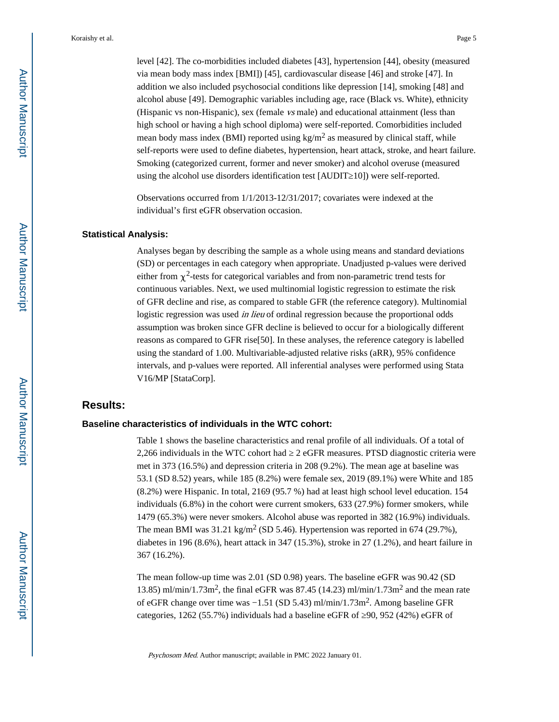level [42]. The co-morbidities included diabetes [43], hypertension [44], obesity (measured via mean body mass index [BMI]) [45], cardiovascular disease [46] and stroke [47]. In addition we also included psychosocial conditions like depression [14], smoking [48] and alcohol abuse [49]. Demographic variables including age, race (Black vs. White), ethnicity (Hispanic vs non-Hispanic), sex (female vs male) and educational attainment (less than high school or having a high school diploma) were self-reported. Comorbidities included mean body mass index (BMI) reported using  $kg/m<sup>2</sup>$  as measured by clinical staff, while self-reports were used to define diabetes, hypertension, heart attack, stroke, and heart failure. Smoking (categorized current, former and never smoker) and alcohol overuse (measured using the alcohol use disorders identification test [AUDIT 10]) were self-reported.

Observations occurred from 1/1/2013-12/31/2017; covariates were indexed at the individual's first eGFR observation occasion.

#### **Statistical Analysis:**

Analyses began by describing the sample as a whole using means and standard deviations (SD) or percentages in each category when appropriate. Unadjusted p-values were derived either from  $\chi^2$ -tests for categorical variables and from non-parametric trend tests for continuous variables. Next, we used multinomial logistic regression to estimate the risk of GFR decline and rise, as compared to stable GFR (the reference category). Multinomial logistic regression was used *in lieu* of ordinal regression because the proportional odds assumption was broken since GFR decline is believed to occur for a biologically different reasons as compared to GFR rise[50]. In these analyses, the reference category is labelled using the standard of 1.00. Multivariable-adjusted relative risks (aRR), 95% confidence intervals, and p-values were reported. All inferential analyses were performed using Stata V16/MP [StataCorp].

#### **Results:**

#### **Baseline characteristics of individuals in the WTC cohort:**

Table 1 shows the baseline characteristics and renal profile of all individuals. Of a total of 2,266 individuals in the WTC cohort had 2 eGFR measures. PTSD diagnostic criteria were met in 373 (16.5%) and depression criteria in 208 (9.2%). The mean age at baseline was 53.1 (SD 8.52) years, while 185 (8.2%) were female sex, 2019 (89.1%) were White and 185 (8.2%) were Hispanic. In total, 2169 (95.7 %) had at least high school level education. 154 individuals (6.8%) in the cohort were current smokers, 633 (27.9%) former smokers, while 1479 (65.3%) were never smokers. Alcohol abuse was reported in 382 (16.9%) individuals. The mean BMI was  $31.21 \text{ kg/m}^2$  (SD 5.46). Hypertension was reported in 674 (29.7%), diabetes in 196 (8.6%), heart attack in 347 (15.3%), stroke in 27 (1.2%), and heart failure in 367 (16.2%).

The mean follow-up time was 2.01 (SD 0.98) years. The baseline eGFR was 90.42 (SD 13.85) ml/min/1.73m<sup>2</sup>, the final eGFR was 87.45 (14.23) ml/min/1.73m<sup>2</sup> and the mean rate of eGFR change over time was −1.51 (SD 5.43) ml/min/1.73m<sup>2</sup> . Among baseline GFR categories, 1262 (55.7%) individuals had a baseline eGFR of  $90, 952$  (42%) eGFR of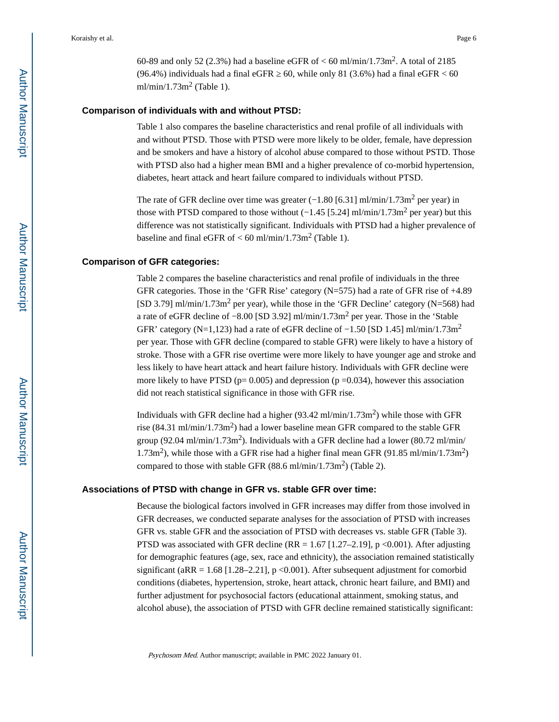60-89 and only 52 (2.3%) had a baseline eGFR of  $<$  60 ml/min/1.73m<sup>2</sup>. A total of 2185 (96.4%) individuals had a final eGFR  $\leq 60$ , while only 81 (3.6%) had a final eGFR  $\leq 60$ ml/min/1.73m<sup>2</sup> (Table 1).

#### **Comparison of individuals with and without PTSD:**

Table 1 also compares the baseline characteristics and renal profile of all individuals with and without PTSD. Those with PTSD were more likely to be older, female, have depression and be smokers and have a history of alcohol abuse compared to those without PSTD. Those with PTSD also had a higher mean BMI and a higher prevalence of co-morbid hypertension, diabetes, heart attack and heart failure compared to individuals without PTSD.

The rate of GFR decline over time was greater  $(-1.80 \, [6.31] \, \text{ml/min}/1.73 \, \text{m}^2$  per year) in those with PTSD compared to those without  $(-1.45 \; [5.24] \; \text{ml/min}/1.73 \; \text{m}^2 \; \text{per year})$  but this difference was not statistically significant. Individuals with PTSD had a higher prevalence of baseline and final eGFR of  $< 60$  ml/min/1.73m<sup>2</sup> (Table 1).

#### **Comparison of GFR categories:**

Table 2 compares the baseline characteristics and renal profile of individuals in the three GFR categories. Those in the 'GFR Rise' category (N=575) had a rate of GFR rise of +4.89 [SD 3.79] ml/min/1.73m<sup>2</sup> per year), while those in the 'GFR Decline' category (N=568) had a rate of eGFR decline of −8.00 [SD 3.92] ml/min/1.73m<sup>2</sup> per year. Those in the 'Stable GFR' category (N=1,123) had a rate of eGFR decline of  $-1.50$  [SD 1.45] ml/min/1.73m<sup>2</sup> per year. Those with GFR decline (compared to stable GFR) were likely to have a history of stroke. Those with a GFR rise overtime were more likely to have younger age and stroke and less likely to have heart attack and heart failure history. Individuals with GFR decline were more likely to have PTSD ( $p= 0.005$ ) and depression ( $p = 0.034$ ), however this association did not reach statistical significance in those with GFR rise.

Individuals with GFR decline had a higher  $(93.42 \text{ ml/min}/1.73 \text{ m}^2)$  while those with GFR rise (84.31 ml/min/1.73m<sup>2</sup>) had a lower baseline mean GFR compared to the stable GFR group (92.04 ml/min/1.73m<sup>2</sup>). Individuals with a GFR decline had a lower (80.72 ml/min/ 1.73m<sup>2</sup> ), while those with a GFR rise had a higher final mean GFR (91.85 ml/min/1.73m<sup>2</sup> ) compared to those with stable GFR  $(88.6 \text{ ml/min}/1.73 \text{ m}^2)$  (Table 2).

#### **Associations of PTSD with change in GFR vs. stable GFR over time:**

Because the biological factors involved in GFR increases may differ from those involved in GFR decreases, we conducted separate analyses for the association of PTSD with increases GFR vs. stable GFR and the association of PTSD with decreases vs. stable GFR (Table 3). PTSD was associated with GFR decline  $(RR = 1.67 [1.27-2.19]$ , p <0.001). After adjusting for demographic features (age, sex, race and ethnicity), the association remained statistically significant (aRR = 1.68 [1.28–2.21],  $p \le 0.001$ ). After subsequent adjustment for comorbid conditions (diabetes, hypertension, stroke, heart attack, chronic heart failure, and BMI) and further adjustment for psychosocial factors (educational attainment, smoking status, and alcohol abuse), the association of PTSD with GFR decline remained statistically significant: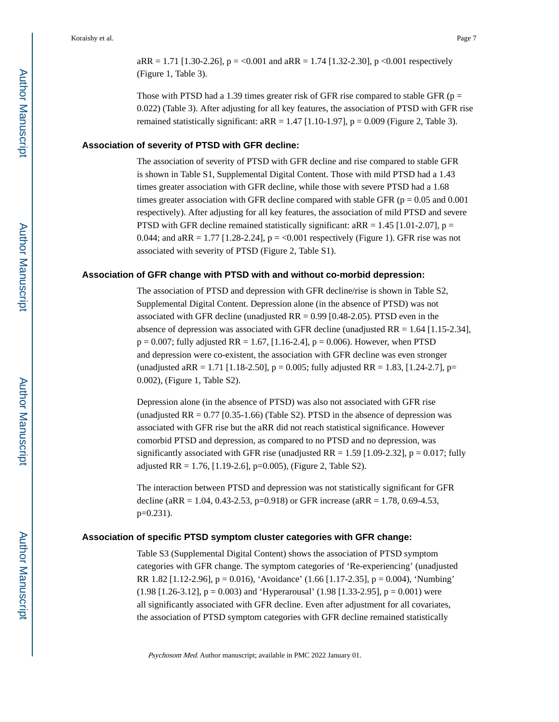$aRR = 1.71$  [1.30-2.26],  $p = 0.001$  and  $aRR = 1.74$  [1.32-2.30], p  $0.001$  respectively (Figure 1, Table 3).

Those with PTSD had a 1.39 times greater risk of GFR rise compared to stable GFR ( $p =$ 0.022) (Table 3). After adjusting for all key features, the association of PTSD with GFR rise remained statistically significant:  $aRR = 1.47$  [1.10-1.97],  $p = 0.009$  (Figure 2, Table 3).

## **Association of severity of PTSD with GFR decline:**

The association of severity of PTSD with GFR decline and rise compared to stable GFR is shown in Table S1, Supplemental Digital Content. Those with mild PTSD had a 1.43 times greater association with GFR decline, while those with severe PTSD had a 1.68 times greater association with GFR decline compared with stable GFR ( $p = 0.05$  and 0.001) respectively). After adjusting for all key features, the association of mild PTSD and severe PTSD with GFR decline remained statistically significant:  $aRR = 1.45$  [1.01-2.07],  $p =$ 0.044; and  $aRR = 1.77$  [1.28-2.24],  $p = 0.001$  respectively (Figure 1). GFR rise was not associated with severity of PTSD (Figure 2, Table S1).

#### **Association of GFR change with PTSD with and without co-morbid depression:**

The association of PTSD and depression with GFR decline/rise is shown in Table S2, Supplemental Digital Content. Depression alone (in the absence of PTSD) was not associated with GFR decline (unadjusted  $RR = 0.99$  [0.48-2.05). PTSD even in the absence of depression was associated with GFR decline (unadjusted  $RR = 1.64$  [1.15-2.34],  $p = 0.007$ ; fully adjusted RR = 1.67, [1.16-2.4],  $p = 0.006$ ). However, when PTSD and depression were co-existent, the association with GFR decline was even stronger (unadjusted aRR = 1.71 [1.18-2.50],  $p = 0.005$ ; fully adjusted RR = 1.83, [1.24-2.7],  $p=$ 0.002), (Figure 1, Table S2).

Depression alone (in the absence of PTSD) was also not associated with GFR rise (unadjusted  $RR = 0.77$  [0.35-1.66) (Table S2). PTSD in the absence of depression was associated with GFR rise but the aRR did not reach statistical significance. However comorbid PTSD and depression, as compared to no PTSD and no depression, was significantly associated with GFR rise (unadjusted RR = 1.59 [1.09-2.32],  $p = 0.017$ ; fully adjusted RR = 1.76, [1.19-2.6], p=0.005), (Figure 2, Table S2).

The interaction between PTSD and depression was not statistically significant for GFR decline (aRR = 1.04, 0.43-2.53, p=0.918) or GFR increase (aRR = 1.78, 0.69-4.53, p=0.231).

#### **Association of specific PTSD symptom cluster categories with GFR change:**

Table S3 (Supplemental Digital Content) shows the association of PTSD symptom categories with GFR change. The symptom categories of 'Re-experiencing' (unadjusted RR 1.82 [1.12-2.96], p = 0.016), 'Avoidance' (1.66 [1.17-2.35], p = 0.004), 'Numbing'  $(1.98 [1.26-3.12], p = 0.003)$  and 'Hyperarousal'  $(1.98 [1.33-2.95], p = 0.001)$  were all significantly associated with GFR decline. Even after adjustment for all covariates, the association of PTSD symptom categories with GFR decline remained statistically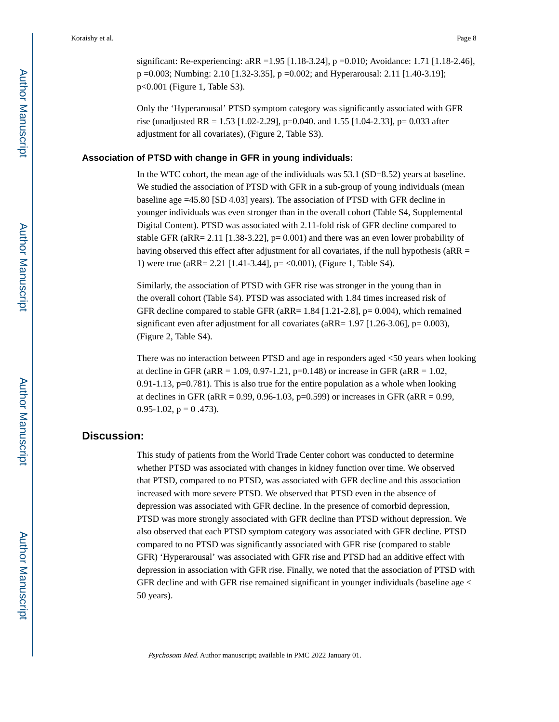significant: Re-experiencing: aRR =1.95 [1.18-3.24], p =0.010; Avoidance: 1.71 [1.18-2.46], p =0.003; Numbing: 2.10 [1.32-3.35], p =0.002; and Hyperarousal: 2.11 [1.40-3.19]; p<0.001 (Figure 1, Table S3).

Only the 'Hyperarousal' PTSD symptom category was significantly associated with GFR rise (unadjusted RR = 1.53 [1.02-2.29], p=0.040. and 1.55 [1.04-2.33], p= 0.033 after adjustment for all covariates), (Figure 2, Table S3).

#### **Association of PTSD with change in GFR in young individuals:**

In the WTC cohort, the mean age of the individuals was 53.1 (SD=8.52) years at baseline. We studied the association of PTSD with GFR in a sub-group of young individuals (mean baseline age =45.80 [SD 4.03] years). The association of PTSD with GFR decline in younger individuals was even stronger than in the overall cohort (Table S4, Supplemental Digital Content). PTSD was associated with 2.11-fold risk of GFR decline compared to stable GFR (aRR= 2.11 [1.38-3.22],  $p= 0.001$ ) and there was an even lower probability of having observed this effect after adjustment for all covariates, if the null hypothesis ( $aRR =$ 1) were true (aRR= 2.21 [1.41-3.44], p= <0.001), (Figure 1, Table S4).

Similarly, the association of PTSD with GFR rise was stronger in the young than in the overall cohort (Table S4). PTSD was associated with 1.84 times increased risk of GFR decline compared to stable GFR (aRR= 1.84 [1.21-2.8], p= 0.004), which remained significant even after adjustment for all covariates (aRR=  $1.97$  [1.26-3.06], p= 0.003), (Figure 2, Table S4).

There was no interaction between PTSD and age in responders aged <50 years when looking at decline in GFR ( $aRR = 1.09$ , 0.97-1.21, p=0.148) or increase in GFR ( $aRR = 1.02$ ,  $0.91-1.13$ ,  $p=0.781$ ). This is also true for the entire population as a whole when looking at declines in GFR ( $aRR = 0.99, 0.96-1.03, p=0.599$ ) or increases in GFR ( $aRR = 0.99,$ 0.95-1.02,  $p = 0.473$ .

## **Discussion:**

This study of patients from the World Trade Center cohort was conducted to determine whether PTSD was associated with changes in kidney function over time. We observed that PTSD, compared to no PTSD, was associated with GFR decline and this association increased with more severe PTSD. We observed that PTSD even in the absence of depression was associated with GFR decline. In the presence of comorbid depression, PTSD was more strongly associated with GFR decline than PTSD without depression. We also observed that each PTSD symptom category was associated with GFR decline. PTSD compared to no PTSD was significantly associated with GFR rise (compared to stable GFR) 'Hyperarousal' was associated with GFR rise and PTSD had an additive effect with depression in association with GFR rise. Finally, we noted that the association of PTSD with GFR decline and with GFR rise remained significant in younger individuals (baseline age < 50 years).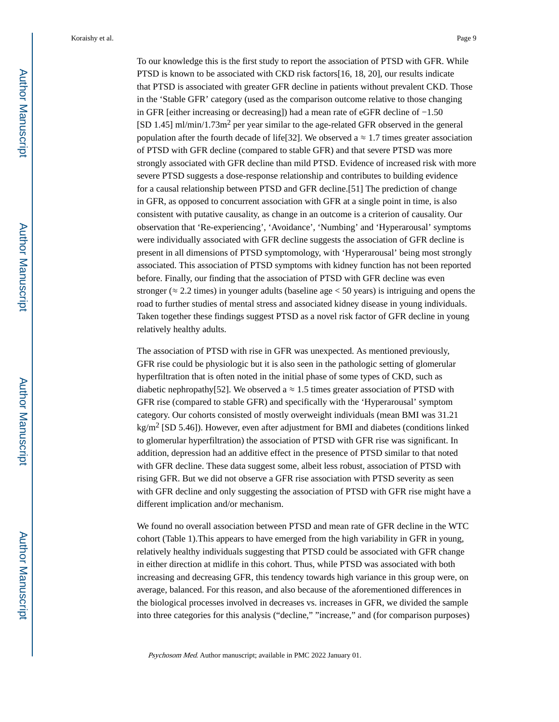To our knowledge this is the first study to report the association of PTSD with GFR. While PTSD is known to be associated with CKD risk factors[16, 18, 20], our results indicate that PTSD is associated with greater GFR decline in patients without prevalent CKD. Those in the 'Stable GFR' category (used as the comparison outcome relative to those changing in GFR [either increasing or decreasing]) had a mean rate of eGFR decline of −1.50 [SD 1.45] ml/min/1.73m<sup>2</sup> per year similar to the age-related GFR observed in the general population after the fourth decade of life[32]. We observed a  $\approx 1.7$  times greater association of PTSD with GFR decline (compared to stable GFR) and that severe PTSD was more strongly associated with GFR decline than mild PTSD. Evidence of increased risk with more severe PTSD suggests a dose-response relationship and contributes to building evidence for a causal relationship between PTSD and GFR decline.[51] The prediction of change in GFR, as opposed to concurrent association with GFR at a single point in time, is also consistent with putative causality, as change in an outcome is a criterion of causality. Our observation that 'Re-experiencing', 'Avoidance', 'Numbing' and 'Hyperarousal' symptoms were individually associated with GFR decline suggests the association of GFR decline is present in all dimensions of PTSD symptomology, with 'Hyperarousal' being most strongly associated. This association of PTSD symptoms with kidney function has not been reported before. Finally, our finding that the association of PTSD with GFR decline was even stronger ( $\approx$  2.2 times) in younger adults (baseline age  $\lt$  50 years) is intriguing and opens the road to further studies of mental stress and associated kidney disease in young individuals. Taken together these findings suggest PTSD as a novel risk factor of GFR decline in young relatively healthy adults.

The association of PTSD with rise in GFR was unexpected. As mentioned previously, GFR rise could be physiologic but it is also seen in the pathologic setting of glomerular hyperfiltration that is often noted in the initial phase of some types of CKD, such as diabetic nephropathy[52]. We observed a  $\approx 1.5$  times greater association of PTSD with GFR rise (compared to stable GFR) and specifically with the 'Hyperarousal' symptom category. Our cohorts consisted of mostly overweight individuals (mean BMI was 31.21  $\text{kg/m}^2$  [SD 5.46]). However, even after adjustment for BMI and diabetes (conditions linked to glomerular hyperfiltration) the association of PTSD with GFR rise was significant. In addition, depression had an additive effect in the presence of PTSD similar to that noted with GFR decline. These data suggest some, albeit less robust, association of PTSD with rising GFR. But we did not observe a GFR rise association with PTSD severity as seen with GFR decline and only suggesting the association of PTSD with GFR rise might have a different implication and/or mechanism.

We found no overall association between PTSD and mean rate of GFR decline in the WTC cohort (Table 1).This appears to have emerged from the high variability in GFR in young, relatively healthy individuals suggesting that PTSD could be associated with GFR change in either direction at midlife in this cohort. Thus, while PTSD was associated with both increasing and decreasing GFR, this tendency towards high variance in this group were, on average, balanced. For this reason, and also because of the aforementioned differences in the biological processes involved in decreases vs. increases in GFR, we divided the sample into three categories for this analysis ("decline," "increase," and (for comparison purposes)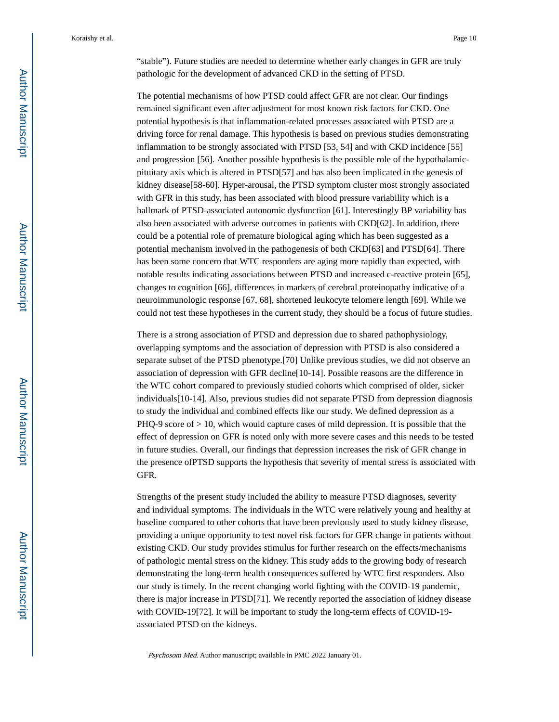"stable"). Future studies are needed to determine whether early changes in GFR are truly pathologic for the development of advanced CKD in the setting of PTSD.

The potential mechanisms of how PTSD could affect GFR are not clear. Our findings remained significant even after adjustment for most known risk factors for CKD. One potential hypothesis is that inflammation-related processes associated with PTSD are a driving force for renal damage. This hypothesis is based on previous studies demonstrating inflammation to be strongly associated with PTSD [53, 54] and with CKD incidence [55] and progression [56]. Another possible hypothesis is the possible role of the hypothalamicpituitary axis which is altered in PTSD[57] and has also been implicated in the genesis of kidney disease[58-60]. Hyper-arousal, the PTSD symptom cluster most strongly associated with GFR in this study, has been associated with blood pressure variability which is a hallmark of PTSD-associated autonomic dysfunction [61]. Interestingly BP variability has also been associated with adverse outcomes in patients with CKD[62]. In addition, there could be a potential role of premature biological aging which has been suggested as a potential mechanism involved in the pathogenesis of both CKD[63] and PTSD[64]. There has been some concern that WTC responders are aging more rapidly than expected, with notable results indicating associations between PTSD and increased c-reactive protein [65], changes to cognition [66], differences in markers of cerebral proteinopathy indicative of a neuroimmunologic response [67, 68], shortened leukocyte telomere length [69]. While we could not test these hypotheses in the current study, they should be a focus of future studies.

There is a strong association of PTSD and depression due to shared pathophysiology, overlapping symptoms and the association of depression with PTSD is also considered a separate subset of the PTSD phenotype.[70] Unlike previous studies, we did not observe an association of depression with GFR decline[10-14]. Possible reasons are the difference in the WTC cohort compared to previously studied cohorts which comprised of older, sicker individuals[10-14]. Also, previous studies did not separate PTSD from depression diagnosis to study the individual and combined effects like our study. We defined depression as a  $PHQ-9$  score of  $> 10$ , which would capture cases of mild depression. It is possible that the effect of depression on GFR is noted only with more severe cases and this needs to be tested in future studies. Overall, our findings that depression increases the risk of GFR change in the presence ofPTSD supports the hypothesis that severity of mental stress is associated with GFR.

Strengths of the present study included the ability to measure PTSD diagnoses, severity and individual symptoms. The individuals in the WTC were relatively young and healthy at baseline compared to other cohorts that have been previously used to study kidney disease, providing a unique opportunity to test novel risk factors for GFR change in patients without existing CKD. Our study provides stimulus for further research on the effects/mechanisms of pathologic mental stress on the kidney. This study adds to the growing body of research demonstrating the long-term health consequences suffered by WTC first responders. Also our study is timely. In the recent changing world fighting with the COVID-19 pandemic, there is major increase in PTSD[71]. We recently reported the association of kidney disease with COVID-19[72]. It will be important to study the long-term effects of COVID-19 associated PTSD on the kidneys.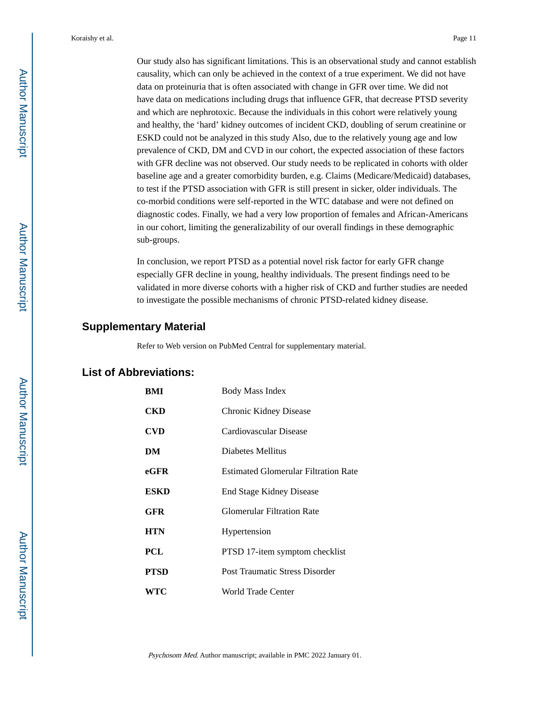Our study also has significant limitations. This is an observational study and cannot establish causality, which can only be achieved in the context of a true experiment. We did not have data on proteinuria that is often associated with change in GFR over time. We did not have data on medications including drugs that influence GFR, that decrease PTSD severity and which are nephrotoxic. Because the individuals in this cohort were relatively young and healthy, the 'hard' kidney outcomes of incident CKD, doubling of serum creatinine or ESKD could not be analyzed in this study Also, due to the relatively young age and low prevalence of CKD, DM and CVD in our cohort, the expected association of these factors with GFR decline was not observed. Our study needs to be replicated in cohorts with older baseline age and a greater comorbidity burden, e.g. Claims (Medicare/Medicaid) databases, to test if the PTSD association with GFR is still present in sicker, older individuals. The co-morbid conditions were self-reported in the WTC database and were not defined on diagnostic codes. Finally, we had a very low proportion of females and African-Americans in our cohort, limiting the generalizability of our overall findings in these demographic sub-groups.

In conclusion, we report PTSD as a potential novel risk factor for early GFR change especially GFR decline in young, healthy individuals. The present findings need to be validated in more diverse cohorts with a higher risk of CKD and further studies are needed to investigate the possible mechanisms of chronic PTSD-related kidney disease.

## **Supplementary Material**

Refer to Web version on PubMed Central for supplementary material.

## **List of Abbreviations:**

| BMI  | <b>Body Mass Index</b>                      |
|------|---------------------------------------------|
| CKD  | Chronic Kidney Disease                      |
| CVD  | Cardiovascular Disease                      |
| DM   | Diabetes Mellitus                           |
| eGFR | <b>Estimated Glomerular Filtration Rate</b> |
| ESKD | <b>End Stage Kidney Disease</b>             |
| GFR  | <b>Glomerular Filtration Rate</b>           |
| HTN  | Hypertension                                |
| PCL  | PTSD 17-item symptom checklist              |
| PTSD | <b>Post Traumatic Stress Disorder</b>       |
| WTC  | <b>World Trade Center</b>                   |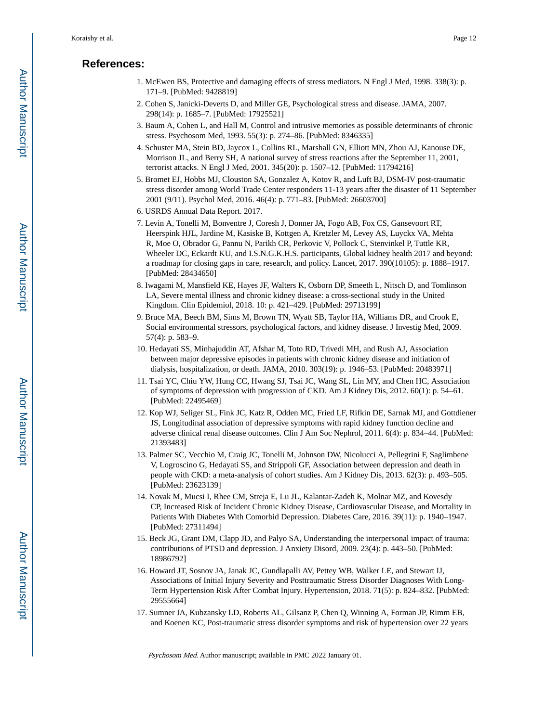## **References:**

- 1. McEwen BS, Protective and damaging effects of stress mediators. N Engl J Med, 1998. 338(3): p. 171–9. [PubMed: 9428819]
- 2. Cohen S, Janicki-Deverts D, and Miller GE, Psychological stress and disease. JAMA, 2007. 298(14): p. 1685–7. [PubMed: 17925521]
- 3. Baum A, Cohen L, and Hall M, Control and intrusive memories as possible determinants of chronic stress. Psychosom Med, 1993. 55(3): p. 274–86. [PubMed: 8346335]
- 4. Schuster MA, Stein BD, Jaycox L, Collins RL, Marshall GN, Elliott MN, Zhou AJ, Kanouse DE, Morrison JL, and Berry SH, A national survey of stress reactions after the September 11, 2001, terrorist attacks. N Engl J Med, 2001. 345(20): p. 1507–12. [PubMed: 11794216]
- 5. Bromet EJ, Hobbs MJ, Clouston SA, Gonzalez A, Kotov R, and Luft BJ, DSM-IV post-traumatic stress disorder among World Trade Center responders 11-13 years after the disaster of 11 September 2001 (9/11). Psychol Med, 2016. 46(4): p. 771–83. [PubMed: 26603700]
- 6. USRDS Annual Data Report. 2017.
- 7. Levin A, Tonelli M, Bonventre J, Coresh J, Donner JA, Fogo AB, Fox CS, Gansevoort RT, Heerspink HJL, Jardine M, Kasiske B, Kottgen A, Kretzler M, Levey AS, Luyckx VA, Mehta R, Moe O, Obrador G, Pannu N, Parikh CR, Perkovic V, Pollock C, Stenvinkel P, Tuttle KR, Wheeler DC, Eckardt KU, and I.S.N.G.K.H.S. participants, Global kidney health 2017 and beyond: a roadmap for closing gaps in care, research, and policy. Lancet, 2017. 390(10105): p. 1888–1917. [PubMed: 28434650]
- 8. Iwagami M, Mansfield KE, Hayes JF, Walters K, Osborn DP, Smeeth L, Nitsch D, and Tomlinson LA, Severe mental illness and chronic kidney disease: a cross-sectional study in the United Kingdom. Clin Epidemiol, 2018. 10: p. 421–429. [PubMed: 29713199]
- 9. Bruce MA, Beech BM, Sims M, Brown TN, Wyatt SB, Taylor HA, Williams DR, and Crook E, Social environmental stressors, psychological factors, and kidney disease. J Investig Med, 2009. 57(4): p. 583–9.
- 10. Hedayati SS, Minhajuddin AT, Afshar M, Toto RD, Trivedi MH, and Rush AJ, Association between major depressive episodes in patients with chronic kidney disease and initiation of dialysis, hospitalization, or death. JAMA, 2010. 303(19): p. 1946–53. [PubMed: 20483971]
- 11. Tsai YC, Chiu YW, Hung CC, Hwang SJ, Tsai JC, Wang SL, Lin MY, and Chen HC, Association of symptoms of depression with progression of CKD. Am J Kidney Dis, 2012. 60(1): p. 54–61. [PubMed: 22495469]
- 12. Kop WJ, Seliger SL, Fink JC, Katz R, Odden MC, Fried LF, Rifkin DE, Sarnak MJ, and Gottdiener JS, Longitudinal association of depressive symptoms with rapid kidney function decline and adverse clinical renal disease outcomes. Clin J Am Soc Nephrol, 2011. 6(4): p. 834–44. [PubMed: 21393483]
- 13. Palmer SC, Vecchio M, Craig JC, Tonelli M, Johnson DW, Nicolucci A, Pellegrini F, Saglimbene V, Logroscino G, Hedayati SS, and Strippoli GF, Association between depression and death in people with CKD: a meta-analysis of cohort studies. Am J Kidney Dis, 2013. 62(3): p. 493–505. [PubMed: 23623139]
- 14. Novak M, Mucsi I, Rhee CM, Streja E, Lu JL, Kalantar-Zadeh K, Molnar MZ, and Kovesdy CP, Increased Risk of Incident Chronic Kidney Disease, Cardiovascular Disease, and Mortality in Patients With Diabetes With Comorbid Depression. Diabetes Care, 2016. 39(11): p. 1940–1947. [PubMed: 27311494]
- 15. Beck JG, Grant DM, Clapp JD, and Palyo SA, Understanding the interpersonal impact of trauma: contributions of PTSD and depression. J Anxiety Disord, 2009. 23(4): p. 443–50. [PubMed: 18986792]
- 16. Howard JT, Sosnov JA, Janak JC, Gundlapalli AV, Pettey WB, Walker LE, and Stewart IJ, Associations of Initial Injury Severity and Posttraumatic Stress Disorder Diagnoses With Long-Term Hypertension Risk After Combat Injury. Hypertension, 2018. 71(5): p. 824–832. [PubMed: 29555664]
- 17. Sumner JA, Kubzansky LD, Roberts AL, Gilsanz P, Chen Q, Winning A, Forman JP, Rimm EB, and Koenen KC, Post-traumatic stress disorder symptoms and risk of hypertension over 22 years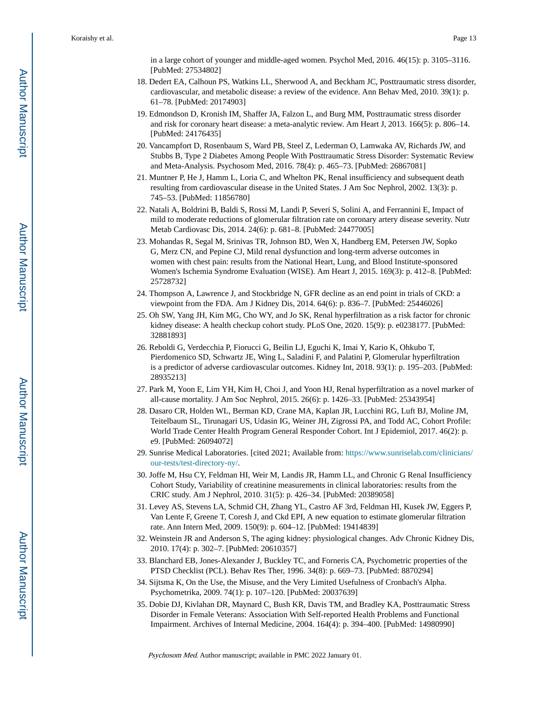in a large cohort of younger and middle-aged women. Psychol Med, 2016. 46(15): p. 3105–3116. [PubMed: 27534802]

- 18. Dedert EA, Calhoun PS, Watkins LL, Sherwood A, and Beckham JC, Posttraumatic stress disorder, cardiovascular, and metabolic disease: a review of the evidence. Ann Behav Med, 2010. 39(1): p. 61–78. [PubMed: 20174903]
- 19. Edmondson D, Kronish IM, Shaffer JA, Falzon L, and Burg MM, Posttraumatic stress disorder and risk for coronary heart disease: a meta-analytic review. Am Heart J, 2013. 166(5): p. 806–14. [PubMed: 24176435]
- 20. Vancampfort D, Rosenbaum S, Ward PB, Steel Z, Lederman O, Lamwaka AV, Richards JW, and Stubbs B, Type 2 Diabetes Among People With Posttraumatic Stress Disorder: Systematic Review and Meta-Analysis. Psychosom Med, 2016. 78(4): p. 465–73. [PubMed: 26867081]
- 21. Muntner P, He J, Hamm L, Loria C, and Whelton PK, Renal insufficiency and subsequent death resulting from cardiovascular disease in the United States. J Am Soc Nephrol, 2002. 13(3): p. 745–53. [PubMed: 11856780]
- 22. Natali A, Boldrini B, Baldi S, Rossi M, Landi P, Severi S, Solini A, and Ferrannini E, Impact of mild to moderate reductions of glomerular filtration rate on coronary artery disease severity. Nutr Metab Cardiovasc Dis, 2014. 24(6): p. 681–8. [PubMed: 24477005]
- 23. Mohandas R, Segal M, Srinivas TR, Johnson BD, Wen X, Handberg EM, Petersen JW, Sopko G, Merz CN, and Pepine CJ, Mild renal dysfunction and long-term adverse outcomes in women with chest pain: results from the National Heart, Lung, and Blood Institute-sponsored Women's Ischemia Syndrome Evaluation (WISE). Am Heart J, 2015. 169(3): p. 412–8. [PubMed: 25728732]
- 24. Thompson A, Lawrence J, and Stockbridge N, GFR decline as an end point in trials of CKD: a viewpoint from the FDA. Am J Kidney Dis, 2014. 64(6): p. 836–7. [PubMed: 25446026]
- 25. Oh SW, Yang JH, Kim MG, Cho WY, and Jo SK, Renal hyperfiltration as a risk factor for chronic kidney disease: A health checkup cohort study. PLoS One, 2020. 15(9): p. e0238177. [PubMed: 32881893]
- 26. Reboldi G, Verdecchia P, Fiorucci G, Beilin LJ, Eguchi K, Imai Y, Kario K, Ohkubo T, Pierdomenico SD, Schwartz JE, Wing L, Saladini F, and Palatini P, Glomerular hyperfiltration is a predictor of adverse cardiovascular outcomes. Kidney Int, 2018. 93(1): p. 195–203. [PubMed: 28935213]
- 27. Park M, Yoon E, Lim YH, Kim H, Choi J, and Yoon HJ, Renal hyperfiltration as a novel marker of all-cause mortality. J Am Soc Nephrol, 2015. 26(6): p. 1426–33. [PubMed: 25343954]
- 28. Dasaro CR, Holden WL, Berman KD, Crane MA, Kaplan JR, Lucchini RG, Luft BJ, Moline JM, Teitelbaum SL, Tirunagari US, Udasin IG, Weiner JH, Zigrossi PA, and Todd AC, Cohort Profile: World Trade Center Health Program General Responder Cohort. Int J Epidemiol, 2017. 46(2): p. e9. [PubMed: 26094072]
- 29. Sunrise Medical Laboratories. [cited 2021; Available from: [https://www.sunriselab.com/clinicians/](https://www.sunriselab.com/clinicians/our-tests/test-directory-ny/) [our-tests/test-directory-ny/.](https://www.sunriselab.com/clinicians/our-tests/test-directory-ny/)
- 30. Joffe M, Hsu CY, Feldman HI, Weir M, Landis JR, Hamm LL, and Chronic G Renal Insufficiency Cohort Study, Variability of creatinine measurements in clinical laboratories: results from the CRIC study. Am J Nephrol, 2010. 31(5): p. 426–34. [PubMed: 20389058]
- 31. Levey AS, Stevens LA, Schmid CH, Zhang YL, Castro AF 3rd, Feldman HI, Kusek JW, Eggers P, Van Lente F, Greene T, Coresh J, and Ckd EPI, A new equation to estimate glomerular filtration rate. Ann Intern Med, 2009. 150(9): p. 604–12. [PubMed: 19414839]
- 32. Weinstein JR and Anderson S, The aging kidney: physiological changes. Adv Chronic Kidney Dis, 2010. 17(4): p. 302–7. [PubMed: 20610357]
- 33. Blanchard EB, Jones-Alexander J, Buckley TC, and Forneris CA, Psychometric properties of the PTSD Checklist (PCL). Behav Res Ther, 1996. 34(8): p. 669–73. [PubMed: 8870294]
- 34. Sijtsma K, On the Use, the Misuse, and the Very Limited Usefulness of Cronbach's Alpha. Psychometrika, 2009. 74(1): p. 107–120. [PubMed: 20037639]
- 35. Dobie DJ, Kivlahan DR, Maynard C, Bush KR, Davis TM, and Bradley KA, Posttraumatic Stress Disorder in Female Veterans: Association With Self-reported Health Problems and Functional Impairment. Archives of Internal Medicine, 2004. 164(4): p. 394–400. [PubMed: 14980990]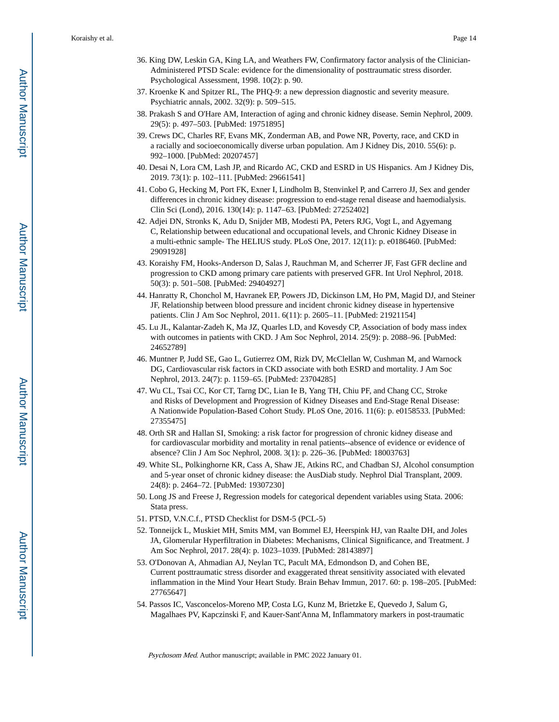- 36. King DW, Leskin GA, King LA, and Weathers FW, Confirmatory factor analysis of the Clinician-Administered PTSD Scale: evidence for the dimensionality of posttraumatic stress disorder. Psychological Assessment, 1998. 10(2): p. 90.
- 37. Kroenke K and Spitzer RL, The PHQ-9: a new depression diagnostic and severity measure. Psychiatric annals, 2002. 32(9): p. 509–515.
- 38. Prakash S and O'Hare AM, Interaction of aging and chronic kidney disease. Semin Nephrol, 2009. 29(5): p. 497–503. [PubMed: 19751895]
- 39. Crews DC, Charles RF, Evans MK, Zonderman AB, and Powe NR, Poverty, race, and CKD in a racially and socioeconomically diverse urban population. Am J Kidney Dis, 2010. 55(6): p. 992–1000. [PubMed: 20207457]
- 40. Desai N, Lora CM, Lash JP, and Ricardo AC, CKD and ESRD in US Hispanics. Am J Kidney Dis, 2019. 73(1): p. 102–111. [PubMed: 29661541]
- 41. Cobo G, Hecking M, Port FK, Exner I, Lindholm B, Stenvinkel P, and Carrero JJ, Sex and gender differences in chronic kidney disease: progression to end-stage renal disease and haemodialysis. Clin Sci (Lond), 2016. 130(14): p. 1147–63. [PubMed: 27252402]
- 42. Adjei DN, Stronks K, Adu D, Snijder MB, Modesti PA, Peters RJG, Vogt L, and Agyemang C, Relationship between educational and occupational levels, and Chronic Kidney Disease in a multi-ethnic sample- The HELIUS study. PLoS One, 2017. 12(11): p. e0186460. [PubMed: 29091928]
- 43. Koraishy FM, Hooks-Anderson D, Salas J, Rauchman M, and Scherrer JF, Fast GFR decline and progression to CKD among primary care patients with preserved GFR. Int Urol Nephrol, 2018. 50(3): p. 501–508. [PubMed: 29404927]
- 44. Hanratty R, Chonchol M, Havranek EP, Powers JD, Dickinson LM, Ho PM, Magid DJ, and Steiner JF, Relationship between blood pressure and incident chronic kidney disease in hypertensive patients. Clin J Am Soc Nephrol, 2011. 6(11): p. 2605–11. [PubMed: 21921154]
- 45. Lu JL, Kalantar-Zadeh K, Ma JZ, Quarles LD, and Kovesdy CP, Association of body mass index with outcomes in patients with CKD. J Am Soc Nephrol, 2014. 25(9): p. 2088–96. [PubMed: 24652789]
- 46. Muntner P, Judd SE, Gao L, Gutierrez OM, Rizk DV, McClellan W, Cushman M, and Warnock DG, Cardiovascular risk factors in CKD associate with both ESRD and mortality. J Am Soc Nephrol, 2013. 24(7): p. 1159–65. [PubMed: 23704285]
- 47. Wu CL, Tsai CC, Kor CT, Tarng DC, Lian Ie B, Yang TH, Chiu PF, and Chang CC, Stroke and Risks of Development and Progression of Kidney Diseases and End-Stage Renal Disease: A Nationwide Population-Based Cohort Study. PLoS One, 2016. 11(6): p. e0158533. [PubMed: 27355475]
- 48. Orth SR and Hallan SI, Smoking: a risk factor for progression of chronic kidney disease and for cardiovascular morbidity and mortality in renal patients--absence of evidence or evidence of absence? Clin J Am Soc Nephrol, 2008. 3(1): p. 226–36. [PubMed: 18003763]
- 49. White SL, Polkinghorne KR, Cass A, Shaw JE, Atkins RC, and Chadban SJ, Alcohol consumption and 5-year onset of chronic kidney disease: the AusDiab study. Nephrol Dial Transplant, 2009. 24(8): p. 2464–72. [PubMed: 19307230]
- 50. Long JS and Freese J, Regression models for categorical dependent variables using Stata. 2006: Stata press.
- 51. PTSD, V.N.C.f., PTSD Checklist for DSM-5 (PCL-5)
- 52. Tonneijck L, Muskiet MH, Smits MM, van Bommel EJ, Heerspink HJ, van Raalte DH, and Joles JA, Glomerular Hyperfiltration in Diabetes: Mechanisms, Clinical Significance, and Treatment. J Am Soc Nephrol, 2017. 28(4): p. 1023–1039. [PubMed: 28143897]
- 53. O'Donovan A, Ahmadian AJ, Neylan TC, Pacult MA, Edmondson D, and Cohen BE, Current posttraumatic stress disorder and exaggerated threat sensitivity associated with elevated inflammation in the Mind Your Heart Study. Brain Behav Immun, 2017. 60: p. 198–205. [PubMed: 27765647]
- 54. Passos IC, Vasconcelos-Moreno MP, Costa LG, Kunz M, Brietzke E, Quevedo J, Salum G, Magalhaes PV, Kapczinski F, and Kauer-Sant'Anna M, Inflammatory markers in post-traumatic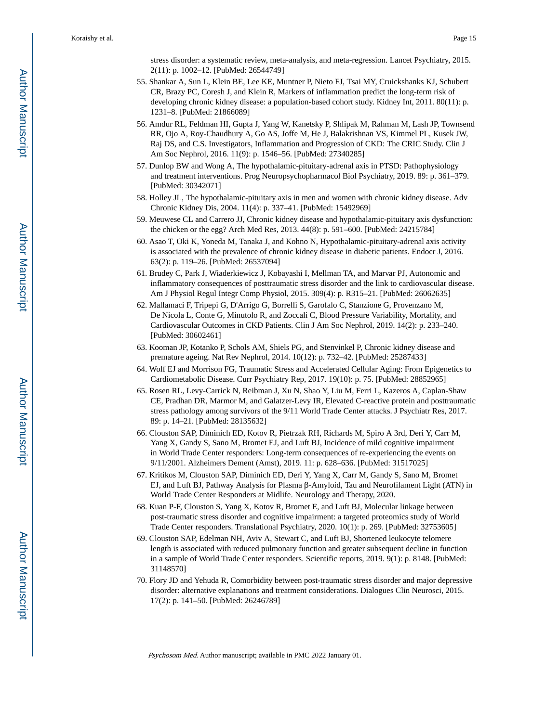stress disorder: a systematic review, meta-analysis, and meta-regression. Lancet Psychiatry, 2015. 2(11): p. 1002–12. [PubMed: 26544749]

- 55. Shankar A, Sun L, Klein BE, Lee KE, Muntner P, Nieto FJ, Tsai MY, Cruickshanks KJ, Schubert CR, Brazy PC, Coresh J, and Klein R, Markers of inflammation predict the long-term risk of developing chronic kidney disease: a population-based cohort study. Kidney Int, 2011. 80(11): p. 1231–8. [PubMed: 21866089]
- 56. Amdur RL, Feldman HI, Gupta J, Yang W, Kanetsky P, Shlipak M, Rahman M, Lash JP, Townsend RR, Ojo A, Roy-Chaudhury A, Go AS, Joffe M, He J, Balakrishnan VS, Kimmel PL, Kusek JW, Raj DS, and C.S. Investigators, Inflammation and Progression of CKD: The CRIC Study. Clin J Am Soc Nephrol, 2016. 11(9): p. 1546–56. [PubMed: 27340285]
- 57. Dunlop BW and Wong A, The hypothalamic-pituitary-adrenal axis in PTSD: Pathophysiology and treatment interventions. Prog Neuropsychopharmacol Biol Psychiatry, 2019. 89: p. 361–379. [PubMed: 30342071]
- 58. Holley JL, The hypothalamic-pituitary axis in men and women with chronic kidney disease. Adv Chronic Kidney Dis, 2004. 11(4): p. 337–41. [PubMed: 15492969]
- 59. Meuwese CL and Carrero JJ, Chronic kidney disease and hypothalamic-pituitary axis dysfunction: the chicken or the egg? Arch Med Res, 2013. 44(8): p. 591–600. [PubMed: 24215784]
- 60. Asao T, Oki K, Yoneda M, Tanaka J, and Kohno N, Hypothalamic-pituitary-adrenal axis activity is associated with the prevalence of chronic kidney disease in diabetic patients. Endocr J, 2016. 63(2): p. 119–26. [PubMed: 26537094]
- 61. Brudey C, Park J, Wiaderkiewicz J, Kobayashi I, Mellman TA, and Marvar PJ, Autonomic and inflammatory consequences of posttraumatic stress disorder and the link to cardiovascular disease. Am J Physiol Regul Integr Comp Physiol, 2015. 309(4): p. R315–21. [PubMed: 26062635]
- 62. Mallamaci F, Tripepi G, D'Arrigo G, Borrelli S, Garofalo C, Stanzione G, Provenzano M, De Nicola L, Conte G, Minutolo R, and Zoccali C, Blood Pressure Variability, Mortality, and Cardiovascular Outcomes in CKD Patients. Clin J Am Soc Nephrol, 2019. 14(2): p. 233–240. [PubMed: 30602461]
- 63. Kooman JP, Kotanko P, Schols AM, Shiels PG, and Stenvinkel P, Chronic kidney disease and premature ageing. Nat Rev Nephrol, 2014. 10(12): p. 732–42. [PubMed: 25287433]
- 64. Wolf EJ and Morrison FG, Traumatic Stress and Accelerated Cellular Aging: From Epigenetics to Cardiometabolic Disease. Curr Psychiatry Rep, 2017. 19(10): p. 75. [PubMed: 28852965]
- 65. Rosen RL, Levy-Carrick N, Reibman J, Xu N, Shao Y, Liu M, Ferri L, Kazeros A, Caplan-Shaw CE, Pradhan DR, Marmor M, and Galatzer-Levy IR, Elevated C-reactive protein and posttraumatic stress pathology among survivors of the 9/11 World Trade Center attacks. J Psychiatr Res, 2017. 89: p. 14–21. [PubMed: 28135632]
- 66. Clouston SAP, Diminich ED, Kotov R, Pietrzak RH, Richards M, Spiro A 3rd, Deri Y, Carr M, Yang X, Gandy S, Sano M, Bromet EJ, and Luft BJ, Incidence of mild cognitive impairment in World Trade Center responders: Long-term consequences of re-experiencing the events on 9/11/2001. Alzheimers Dement (Amst), 2019. 11: p. 628–636. [PubMed: 31517025]
- 67. Kritikos M, Clouston SAP, Diminich ED, Deri Y, Yang X, Carr M, Gandy S, Sano M, Bromet EJ, and Luft BJ, Pathway Analysis for Plasma β-Amyloid, Tau and Neurofilament Light (ATN) in World Trade Center Responders at Midlife. Neurology and Therapy, 2020.
- 68. Kuan P-F, Clouston S, Yang X, Kotov R, Bromet E, and Luft BJ, Molecular linkage between post-traumatic stress disorder and cognitive impairment: a targeted proteomics study of World Trade Center responders. Translational Psychiatry, 2020. 10(1): p. 269. [PubMed: 32753605]
- 69. Clouston SAP, Edelman NH, Aviv A, Stewart C, and Luft BJ, Shortened leukocyte telomere length is associated with reduced pulmonary function and greater subsequent decline in function in a sample of World Trade Center responders. Scientific reports, 2019. 9(1): p. 8148. [PubMed: 31148570]
- 70. Flory JD and Yehuda R, Comorbidity between post-traumatic stress disorder and major depressive disorder: alternative explanations and treatment considerations. Dialogues Clin Neurosci, 2015. 17(2): p. 141–50. [PubMed: 26246789]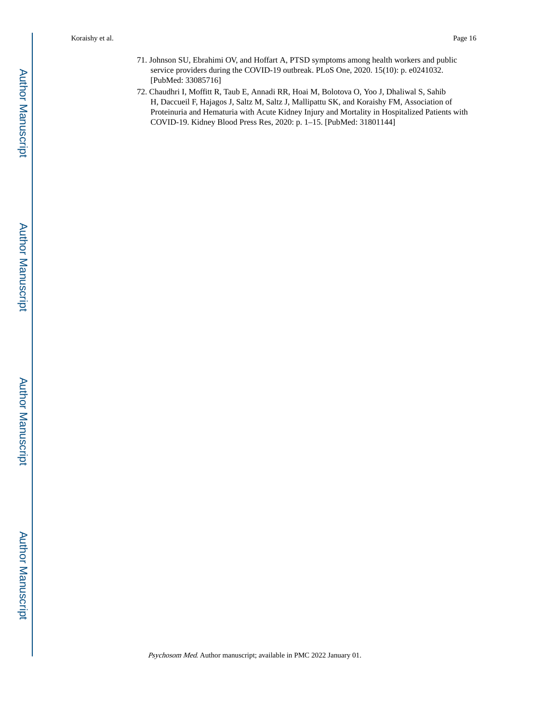- 71. Johnson SU, Ebrahimi OV, and Hoffart A, PTSD symptoms among health workers and public service providers during the COVID-19 outbreak. PLoS One, 2020. 15(10): p. e0241032. [PubMed: 33085716]
- 72. Chaudhri I, Moffitt R, Taub E, Annadi RR, Hoai M, Bolotova O, Yoo J, Dhaliwal S, Sahib H, Daccueil F, Hajagos J, Saltz M, Saltz J, Mallipattu SK, and Koraishy FM, Association of Proteinuria and Hematuria with Acute Kidney Injury and Mortality in Hospitalized Patients with COVID-19. Kidney Blood Press Res, 2020: p. 1–15. [PubMed: 31801144]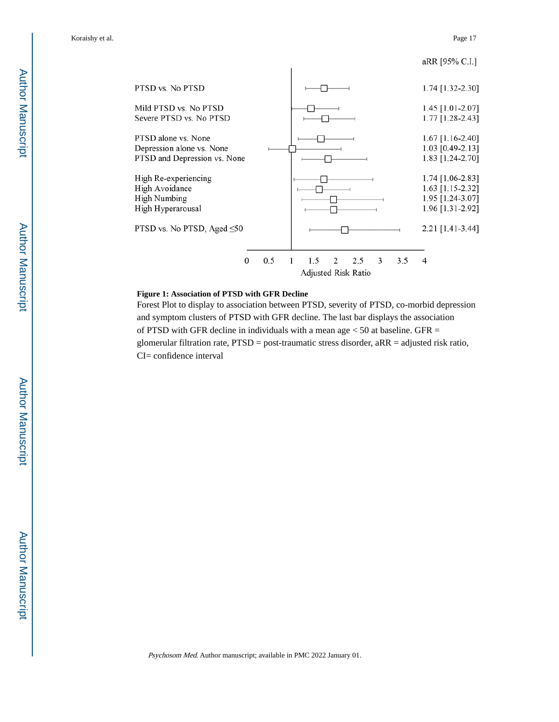aRR [95% C.I.]



#### **Figure 1: Association of PTSD with GFR Decline**

Forest Plot to display to association between PTSD, severity of PTSD, co-morbid depression and symptom clusters of PTSD with GFR decline. The last bar displays the association of PTSD with GFR decline in individuals with a mean age  $<$  50 at baseline. GFR = glomerular filtration rate, PTSD = post-traumatic stress disorder, aRR = adjusted risk ratio, CI= confidence interval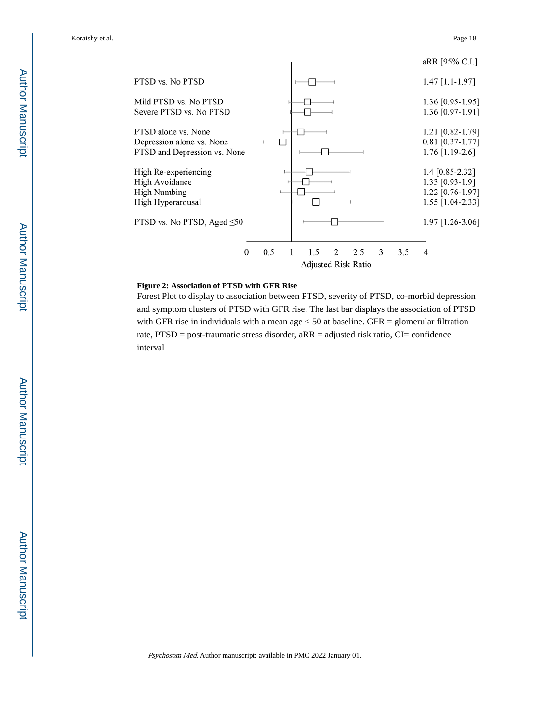

#### **Figure 2: Association of PTSD with GFR Rise**

Forest Plot to display to association between PTSD, severity of PTSD, co-morbid depression and symptom clusters of PTSD with GFR rise. The last bar displays the association of PTSD with GFR rise in individuals with a mean age  $<$  50 at baseline. GFR = glomerular filtration rate,  $PTSD = post-traumatic stress disorder, aRR = adjusted risk ratio, CI = confidence$ interval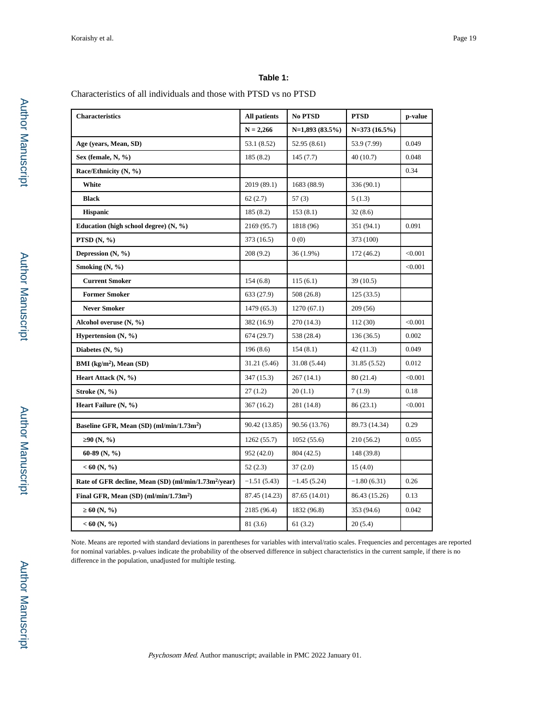## **Table 1:**

Characteristics of all individuals and those with PTSD vs no PTSD

| <b>Characteristics</b>                                           | <b>All patients</b> | No PTSD          | <b>PTSD</b>     | p-value |
|------------------------------------------------------------------|---------------------|------------------|-----------------|---------|
|                                                                  | $N = 2,266$         | $N=1,893(83.5%)$ | $N=373(16.5\%)$ |         |
| Age (years, Mean, SD)                                            | 53.1 (8.52)         | 52.95 (8.61)     | 53.9 (7.99)     | 0.049   |
| Sex (female, N, %)                                               | 185 (8.2)           | 145(7.7)         | 40(10.7)        | 0.048   |
| Race/Ethnicity (N, %)                                            |                     |                  |                 | 0.34    |
| White                                                            | 2019 (89.1)         | 1683 (88.9)      | 336 (90.1)      |         |
| <b>Black</b>                                                     | 62(2.7)             | 57(3)            | 5(1.3)          |         |
| <b>Hispanic</b>                                                  | 185 (8.2)           | 153(8.1)         | 32(8.6)         |         |
| Education (high school degree) $(N, \frac{9}{6})$                | 2169 (95.7)         | 1818 (96)        | 351 (94.1)      | 0.091   |
| PTSD $(N, \mathcal{V}_0)$                                        | 373 (16.5)          | 0(0)             | 373 (100)       |         |
| Depression $(N, \mathcal{V}_0)$                                  | 208 (9.2)           | 36 (1.9%)        | 172 (46.2)      | < 0.001 |
| Smoking $(N, %)$                                                 |                     |                  |                 | < 0.001 |
| <b>Current Smoker</b>                                            | 154(6.8)            | 115(6.1)         | 39(10.5)        |         |
| <b>Former Smoker</b>                                             | 633 (27.9)          | 508 (26.8)       | 125(33.5)       |         |
| <b>Never Smoker</b>                                              | 1479 (65.3)         | 1270(67.1)       | 209(56)         |         |
| Alcohol overuse (N, %)                                           | 382 (16.9)          | 270 (14.3)       | 112 (30)        | < 0.001 |
| Hypertension $(N, %)$                                            | 674(29.7)           | 538 (28.4)       | 136(36.5)       | 0.002   |
| Diabetes (N, %)                                                  | 196(8.6)            | 154(8.1)         | 42(11.3)        | 0.049   |
| BMI $(kg/m2)$ , Mean $(SD)$                                      | 31.21 (5.46)        | 31.08 (5.44)     | 31.85 (5.52)    | 0.012   |
| Heart Attack (N, %)                                              | 347 (15.3)          | 267(14.1)        | 80 (21.4)       | < 0.001 |
| Stroke $(N, %)$                                                  | 27(1.2)             | 20(1.1)          | 7(1.9)          | 0.18    |
| Heart Failure (N, %)                                             | 367 (16.2)          | 281 (14.8)       | 86 (23.1)       | < 0.001 |
| Baseline GFR, Mean (SD) (ml/min/1.73m <sup>2</sup> )             | 90.42 (13.85)       | 90.56 (13.76)    | 89.73 (14.34)   | 0.29    |
| 90(N, %)                                                         | 1262(55.7)          | 1052(55.6)       | 210(56.2)       | 0.055   |
| 60-89 (N, $\%$ )                                                 | 952 (42.0)          | 804 (42.5)       | 148 (39.8)      |         |
| $< 60$ (N, %)                                                    | 52(2.3)             | 37(2.0)          | 15(4.0)         |         |
| Rate of GFR decline, Mean (SD) (ml/min/1.73m <sup>2</sup> /year) | $-1.51(5.43)$       | $-1.45(5.24)$    | $-1.80(6.31)$   | 0.26    |
|                                                                  |                     |                  |                 |         |
| Final GFR, Mean $(SD)$ (ml/min/1.73m <sup>2</sup> )              | 87.45 (14.23)       | 87.65 (14.01)    | 86.43 (15.26)   | 0.13    |
| 60(N, %)                                                         | 2185 (96.4)         | 1832 (96.8)      | 353 (94.6)      | 0.042   |
| $< 60$ (N, %)                                                    | 81 (3.6)            | 61 (3.2)         | 20(5.4)         |         |

Note. Means are reported with standard deviations in parentheses for variables with interval/ratio scales. Frequencies and percentages are reported for nominal variables. p-values indicate the probability of the observed difference in subject characteristics in the current sample, if there is no difference in the population, unadjusted for multiple testing.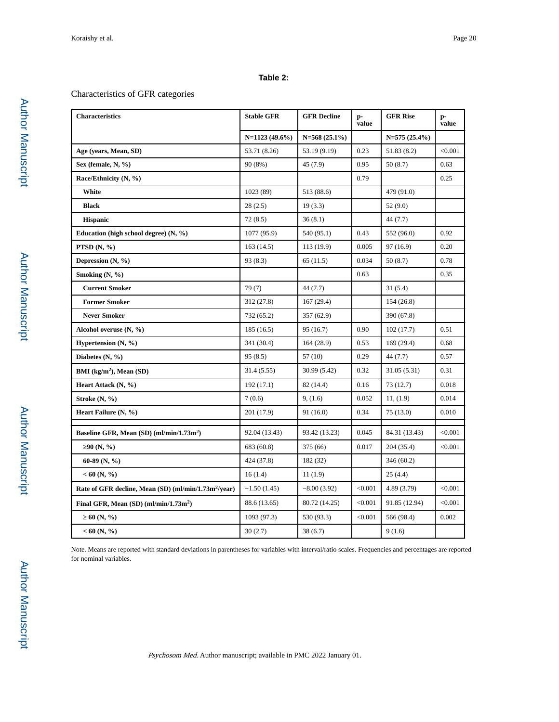## **Table 2:**

## Characteristics of GFR categories

| <b>Characteristics</b>                                           | <b>Stable GFR</b> | <b>GFR</b> Decline | p-<br>value | <b>GFR Rise</b>   | p-<br>value |
|------------------------------------------------------------------|-------------------|--------------------|-------------|-------------------|-------------|
|                                                                  | $N=1123(49.6\%)$  | $N = 568(25.1\%)$  |             | $N = 575(25.4\%)$ |             |
| Age (years, Mean, SD)                                            | 53.71 (8.26)      | 53.19 (9.19)       | 0.23        | 51.83 (8.2)       | < 0.001     |
| Sex (female, N, %)                                               | 90 (8%)           | 45 (7.9)           | 0.95        | 50(8.7)           | 0.63        |
| Race/Ethnicity (N, %)                                            |                   |                    | 0.79        |                   | 0.25        |
| White                                                            | 1023 (89)         | 513 (88.6)         |             | 479 (91.0)        |             |
| <b>Black</b>                                                     | 28(2.5)           | 19(3.3)            |             | 52(9.0)           |             |
| <b>Hispanic</b>                                                  | 72(8.5)           | 36(8.1)            |             | 44 (7.7)          |             |
| Education (high school degree) $(N, \frac{9}{6})$                | 1077 (95.9)       | 540 (95.1)         | 0.43        | 552 (96.0)        | 0.92        |
| PTSD $(N, %)$                                                    | 163(14.5)         | 113 (19.9)         | 0.005       | 97 (16.9)         | 0.20        |
| Depression $(N, \frac{9}{6})$                                    | 93 (8.3)          | 65(11.5)           | 0.034       | 50(8.7)           | 0.78        |
| Smoking (N, %)                                                   |                   |                    | 0.63        |                   | 0.35        |
| <b>Current Smoker</b>                                            | 79(7)             | 44 (7.7)           |             | 31(5.4)           |             |
| <b>Former Smoker</b>                                             | 312 (27.8)        | 167(29.4)          |             | 154 (26.8)        |             |
| <b>Never Smoker</b>                                              | 732 (65.2)        | 357 (62.9)         |             | 390 (67.8)        |             |
| Alcohol overuse (N, %)                                           | 185(16.5)         | 95 (16.7)          | 0.90        | 102(17.7)         | 0.51        |
| Hypertension $(N, %)$                                            | 341 (30.4)        | 164(28.9)          | 0.53        | 169(29.4)         | 0.68        |
| Diabetes $(N, %)$                                                | 95(8.5)           | 57 (10)            | 0.29        | 44 (7.7)          | 0.57        |
| BMI $(kg/m2)$ , Mean (SD)                                        | 31.4(5.55)        | 30.99 (5.42)       | 0.32        | 31.05 (5.31)      | 0.31        |
| Heart Attack (N, %)                                              | 192 (17.1)        | 82 (14.4)          | 0.16        | 73 (12.7)         | 0.018       |
| Stroke (N, %)                                                    | 7(0.6)            | 9, (1.6)           | 0.052       | 11, (1.9)         | 0.014       |
| Heart Failure (N, %)                                             | 201 (17.9)        | 91(16.0)           | 0.34        | 75(13.0)          | 0.010       |
|                                                                  | 92.04 (13.43)     | 93.42 (13.23)      | 0.045       | 84.31 (13.43)     | < 0.001     |
| Baseline GFR, Mean (SD) (ml/min/1.73m <sup>2</sup> )             |                   |                    | 0.017       |                   |             |
| 90(N, %)                                                         | 683 (60.8)        | 375 (66)           |             | 204 (35.4)        | < 0.001     |
| 60-89 (N, $\%$ )                                                 | 424 (37.8)        | 182 (32)           |             | 346 (60.2)        |             |
| $< 60$ (N, %)                                                    | 16(1.4)           | 11(1.9)            |             | 25(4.4)           |             |
| Rate of GFR decline, Mean (SD) (ml/min/1.73m <sup>2</sup> /year) | $-1.50(1.45)$     | $-8.00(3.92)$      | < 0.001     | 4.89(3.79)        | < 0.001     |
| Final GFR, Mean $(SD)$ (ml/min/1.73m <sup>2</sup> )              | 88.6 (13.65)      | 80.72 (14.25)      | < 0.001     | 91.85 (12.94)     | < 0.001     |
| 60(N, %)                                                         | 1093 (97.3)       | 530 (93.3)         | < 0.001     | 566 (98.4)        | 0.002       |
| $< 60$ (N, %)                                                    | 30(2.7)           | 38(6.7)            |             | 9(1.6)            |             |

Note. Means are reported with standard deviations in parentheses for variables with interval/ratio scales. Frequencies and percentages are reported for nominal variables.